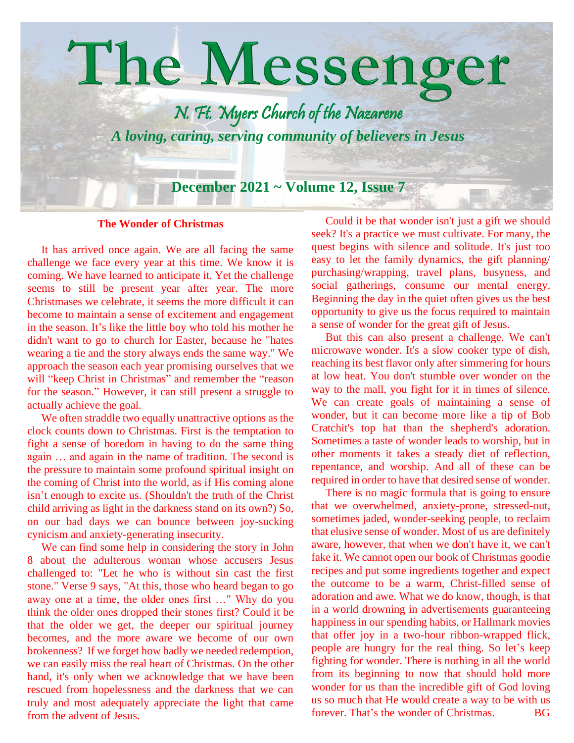

## **The Wonder of Christmas**

 It has arrived once again. We are all facing the same challenge we face every year at this time. We know it is coming. We have learned to anticipate it. Yet the challenge seems to still be present year after year. The more Christmases we celebrate, it seems the more difficult it can become to maintain a sense of excitement and engagement in the season. It's like the little boy who told his mother he didn't want to go to church for Easter, because he "hates wearing a tie and the story always ends the same way." We approach the season each year promising ourselves that we will "keep Christ in Christmas" and remember the "reason for the season." However, it can still present a struggle to actually achieve the goal.

We often straddle two equally unattractive options as the clock counts down to Christmas. First is the temptation to fight a sense of boredom in having to do the same thing again … and again in the name of tradition. The second is the pressure to maintain some profound spiritual insight on the coming of Christ into the world, as if His coming alone isn't enough to excite us. (Shouldn't the truth of the Christ child arriving as light in the darkness stand on its own?) So, on our bad days we can bounce between joy-sucking cynicism and anxiety-generating insecurity.

 We can find some help in considering the story in John 8 about the adulterous woman whose accusers Jesus challenged to: "Let he who is without sin cast the first stone." Verse 9 says, "At this, those who heard began to go away one at a time, the older ones first …" Why do you think the older ones dropped their stones first? Could it be that the older we get, the deeper our spiritual journey becomes, and the more aware we become of our own brokenness? If we forget how badly we needed redemption, we can easily miss the real heart of Christmas. On the other hand, it's only when we acknowledge that we have been rescued from hopelessness and the darkness that we can truly and most adequately appreciate the light that came from the advent of Jesus.

 Could it be that wonder isn't just a gift we should seek? It's a practice we must cultivate. For many, the quest begins with silence and solitude. It's just too easy to let the family dynamics, the gift planning/ purchasing/wrapping, travel plans, busyness, and social gatherings, consume our mental energy. Beginning the day in the quiet often gives us the best opportunity to give us the focus required to maintain a sense of wonder for the great gift of Jesus.

 But this can also present a challenge. We can't microwave wonder. It's a slow cooker type of dish, reaching its best flavor only after simmering for hours at low heat. You don't stumble over wonder on the way to the mall, you fight for it in times of silence. We can create goals of maintaining a sense of wonder, but it can become more like a tip of Bob Cratchit's top hat than the shepherd's adoration. Sometimes a taste of wonder leads to worship, but in other moments it takes a steady diet of reflection, repentance, and worship. And all of these can be required in order to have that desired sense of wonder.

 There is no magic formula that is going to ensure that we overwhelmed, anxiety-prone, stressed-out, sometimes jaded, wonder-seeking people, to reclaim that elusive sense of wonder. Most of us are definitely aware, however, that when we don't have it, we can't fake it. We cannot open our book of Christmas goodie recipes and put some ingredients together and expect the outcome to be a warm, Christ-filled sense of adoration and awe. What we do know, though, is that in a world drowning in advertisements guaranteeing happiness in our spending habits, or Hallmark movies that offer joy in a two-hour ribbon-wrapped flick, people are hungry for the real thing. So let's keep fighting for wonder. There is nothing in all the world from its beginning to now that should hold more wonder for us than the incredible gift of God loving us so much that He would create a way to be with us forever. That's the wonder of Christmas. BG